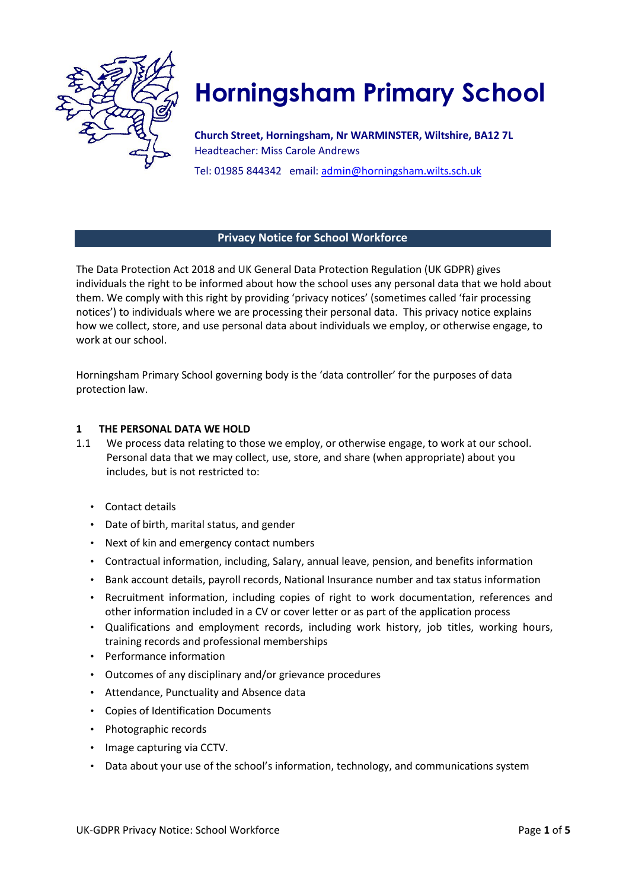

# **Horningsham Primary School**

**Church Street, Horningsham, Nr WARMINSTER, Wiltshire, BA12 7L**  Headteacher: Miss Carole Andrews

Tel: 01985 844342 email: admin@horningsham.wilts.sch.uk

## **Privacy Notice for School Workforce**

The Data Protection Act 2018 and UK General Data Protection Regulation (UK GDPR) gives individuals the right to be informed about how the school uses any personal data that we hold about them. We comply with this right by providing 'privacy notices' (sometimes called 'fair processing notices') to individuals where we are processing their personal data. This privacy notice explains how we collect, store, and use personal data about individuals we employ, or otherwise engage, to work at our school.

Horningsham Primary School governing body is the 'data controller' for the purposes of data protection law.

#### **1 THE PERSONAL DATA WE HOLD**

- 1.1 We process data relating to those we employ, or otherwise engage, to work at our school. Personal data that we may collect, use, store, and share (when appropriate) about you includes, but is not restricted to:
	- Contact details
	- Date of birth, marital status, and gender
	- Next of kin and emergency contact numbers
	- Contractual information, including, Salary, annual leave, pension, and benefits information
	- Bank account details, payroll records, National Insurance number and tax status information
	- Recruitment information, including copies of right to work documentation, references and other information included in a CV or cover letter or as part of the application process
	- Qualifications and employment records, including work history, job titles, working hours, training records and professional memberships
	- Performance information
	- Outcomes of any disciplinary and/or grievance procedures
	- Attendance, Punctuality and Absence data
	- Copies of Identification Documents
	- Photographic records
	- Image capturing via CCTV.
	- Data about your use of the school's information, technology, and communications system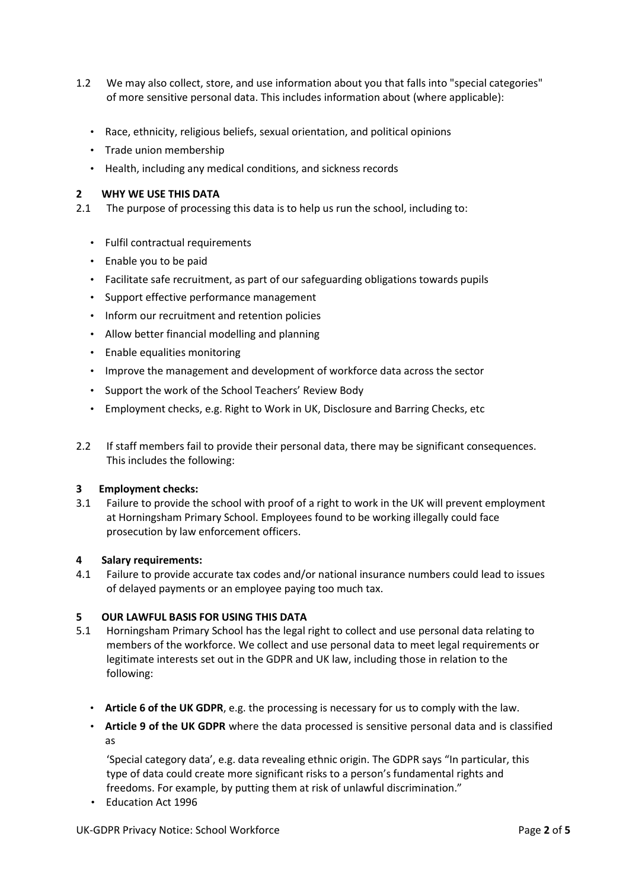- 1.2 We may also collect, store, and use information about you that falls into "special categories" of more sensitive personal data. This includes information about (where applicable):
	- Race, ethnicity, religious beliefs, sexual orientation, and political opinions
	- Trade union membership
	- Health, including any medical conditions, and sickness records

#### **2 WHY WE USE THIS DATA**

2.1 The purpose of processing this data is to help us run the school, including to:

- Fulfil contractual requirements
- Enable you to be paid
- Facilitate safe recruitment, as part of our safeguarding obligations towards pupils
- Support effective performance management
- Inform our recruitment and retention policies
- Allow better financial modelling and planning
- Enable equalities monitoring
- Improve the management and development of workforce data across the sector
- Support the work of the School Teachers' Review Body
- Employment checks, e.g. Right to Work in UK, Disclosure and Barring Checks, etc
- 2.2 If staff members fail to provide their personal data, there may be significant consequences. This includes the following:

#### **3 Employment checks:**

3.1 Failure to provide the school with proof of a right to work in the UK will prevent employment at Horningsham Primary School. Employees found to be working illegally could face prosecution by law enforcement officers.

#### **4 Salary requirements:**

4.1 Failure to provide accurate tax codes and/or national insurance numbers could lead to issues of delayed payments or an employee paying too much tax.

#### **5 OUR LAWFUL BASIS FOR USING THIS DATA**

- 5.1 Horningsham Primary School has the legal right to collect and use personal data relating to members of the workforce. We collect and use personal data to meet legal requirements or legitimate interests set out in the GDPR and UK law, including those in relation to the following:
	- **Article 6 of the UK GDPR**, e.g. the processing is necessary for us to comply with the law.
	- **Article 9 of the UK GDPR** where the data processed is sensitive personal data and is classified as

'Special category data', e.g. data revealing ethnic origin. The GDPR says "In particular, this type of data could create more significant risks to a person's fundamental rights and freedoms. For example, by putting them at risk of unlawful discrimination."

• Education Act 1996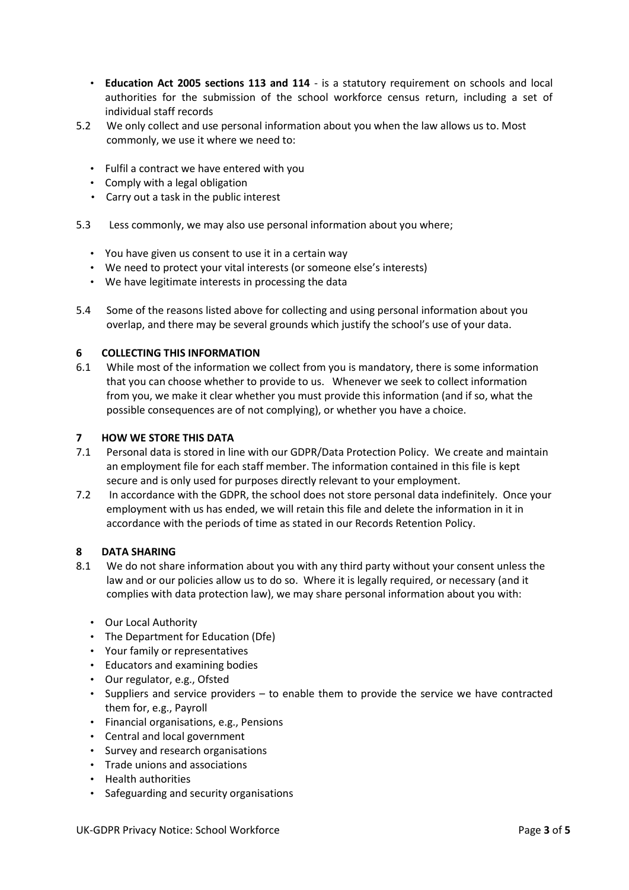- **Education Act 2005 sections 113 and 114** is a statutory requirement on schools and local authorities for the submission of the school workforce census return, including a set of individual staff records
- 5.2 We only collect and use personal information about you when the law allows us to. Most commonly, we use it where we need to:
	- Fulfil a contract we have entered with you
	- Comply with a legal obligation
	- Carry out a task in the public interest
- 5.3 Less commonly, we may also use personal information about you where;
	- You have given us consent to use it in a certain way
	- We need to protect your vital interests (or someone else's interests)
	- We have legitimate interests in processing the data
- 5.4 Some of the reasons listed above for collecting and using personal information about you overlap, and there may be several grounds which justify the school's use of your data.

#### **6 COLLECTING THIS INFORMATION**

6.1 While most of the information we collect from you is mandatory, there is some information that you can choose whether to provide to us. Whenever we seek to collect information from you, we make it clear whether you must provide this information (and if so, what the possible consequences are of not complying), or whether you have a choice.

#### **7 HOW WE STORE THIS DATA**

- 7.1 Personal data is stored in line with our GDPR/Data Protection Policy. We create and maintain an employment file for each staff member. The information contained in this file is kept secure and is only used for purposes directly relevant to your employment.
- 7.2 In accordance with the GDPR, the school does not store personal data indefinitely. Once your employment with us has ended, we will retain this file and delete the information in it in accordance with the periods of time as stated in our Records Retention Policy.

#### **8 DATA SHARING**

- 8.1 We do not share information about you with any third party without your consent unless the law and or our policies allow us to do so. Where it is legally required, or necessary (and it complies with data protection law), we may share personal information about you with:
	- Our Local Authority
	- The Department for Education (Dfe)
	- Your family or representatives
	- Educators and examining bodies
	- Our regulator, e.g., Ofsted
	- Suppliers and service providers to enable them to provide the service we have contracted them for, e.g., Payroll
	- Financial organisations, e.g., Pensions
	- Central and local government
	- Survey and research organisations
	- Trade unions and associations
	- Health authorities
	- Safeguarding and security organisations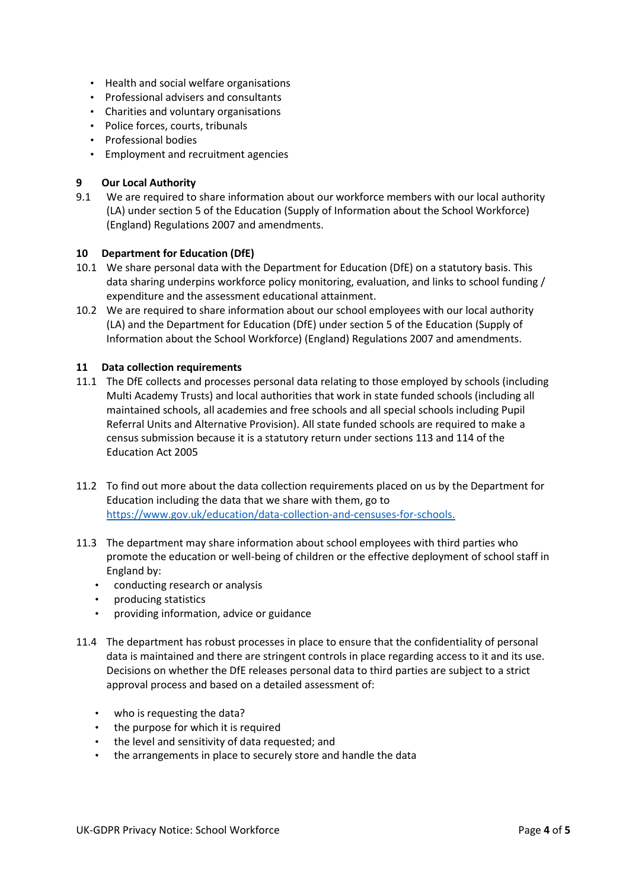- Health and social welfare organisations
- Professional advisers and consultants
- Charities and voluntary organisations
- Police forces, courts, tribunals
- Professional bodies
- Employment and recruitment agencies

## **9 Our Local Authority**

9.1 We are required to share information about our workforce members with our local authority (LA) under section 5 of the Education (Supply of Information about the School Workforce) (England) Regulations 2007 and amendments.

## **10 Department for Education (DfE)**

- 10.1 We share personal data with the Department for Education (DfE) on a statutory basis. This data sharing underpins workforce policy monitoring, evaluation, and links to school funding / expenditure and the assessment educational attainment.
- 10.2 We are required to share information about our school employees with our local authority (LA) and the Department for Education (DfE) under section 5 of the Education (Supply of Information about the School Workforce) (England) Regulations 2007 and amendments.

#### **11 Data collection requirements**

- 11.1 The DfE collects and processes personal data relating to those employed by schools (including Multi Academy Trusts) and local authorities that work in state funded schools (including all maintained schools, all academies and free schools and all special schools including Pupil Referral Units and Alternative Provision). All state funded schools are required to make a census submission because it is a statutory return under sections 113 and 114 of the Education Act 2005
- 11.2 To find out more about the data collection requirements placed on us by the Department for Education including the data that we share with them, go to <https://www.gov.uk/education/data-collection-and-censuses-for-schools.>
- 11.3 The department may share information about school employees with third parties who promote the education or well-being of children or the effective deployment of school staff in England by:
	- conducting research or analysis
	- producing statistics
	- providing information, advice or guidance
- 11.4 The department has robust processes in place to ensure that the confidentiality of personal data is maintained and there are stringent controls in place regarding access to it and its use. Decisions on whether the DfE releases personal data to third parties are subject to a strict approval process and based on a detailed assessment of:
	- who is requesting the data?
	- the purpose for which it is required
	- the level and sensitivity of data requested; and
	- the arrangements in place to securely store and handle the data